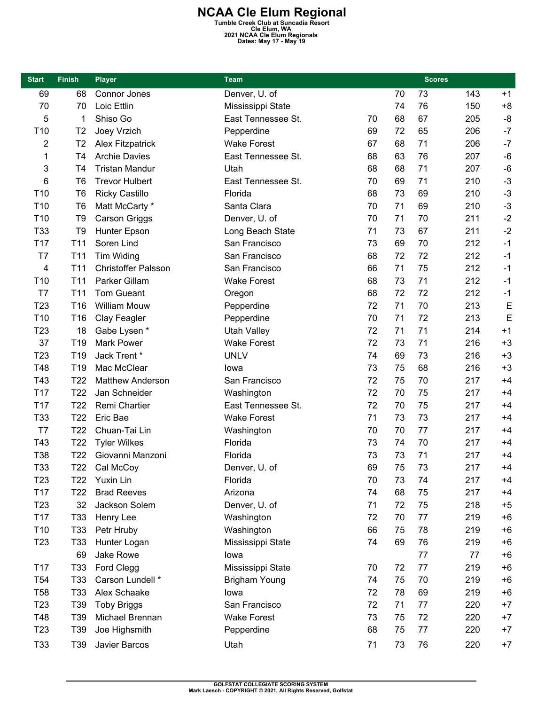**NCAA Cle Elum Regional Tumble Creek Club at Suncadia Resort Cle Elum, WA 2021 NCAA Cle Elum Regionals Dates: May 17 - May 19** 

| <b>Start</b>    | <b>Finish</b>   | <b>Player</b>              | <b>Team</b>          |    |    | <b>Scores</b> |     |      |
|-----------------|-----------------|----------------------------|----------------------|----|----|---------------|-----|------|
| 69              | 68              | Connor Jones               | Denver, U. of        |    | 70 | 73            | 143 | $+1$ |
| 70              | 70              | Loic Ettlin                | Mississippi State    |    | 74 | 76            | 150 | $+8$ |
| 5               | 1               | Shiso Go                   | East Tennessee St.   | 70 | 68 | 67            | 205 | -8   |
| T <sub>10</sub> | T <sub>2</sub>  | Joey Vrzich                | Pepperdine           | 69 | 72 | 65            | 206 | $-7$ |
| 2               | T <sub>2</sub>  | <b>Alex Fitzpatrick</b>    | <b>Wake Forest</b>   | 67 | 68 | 71            | 206 | $-7$ |
| 1               | T4              | <b>Archie Davies</b>       | East Tennessee St.   | 68 | 63 | 76            | 207 | $-6$ |
| 3               | T4              | <b>Tristan Mandur</b>      | Utah                 | 68 | 68 | 71            | 207 | $-6$ |
| 6               | T <sub>6</sub>  | <b>Trevor Hulbert</b>      | East Tennessee St.   | 70 | 69 | 71            | 210 | $-3$ |
| T <sub>10</sub> | T <sub>6</sub>  | <b>Ricky Castillo</b>      | Florida              | 68 | 73 | 69            | 210 | $-3$ |
| T <sub>10</sub> | T <sub>6</sub>  | Matt McCarty *             | Santa Clara          | 70 | 71 | 69            | 210 | $-3$ |
| T <sub>10</sub> | T <sub>9</sub>  | <b>Carson Griggs</b>       | Denver, U. of        | 70 | 71 | 70            | 211 | $-2$ |
| T33             | T <sub>9</sub>  | Hunter Epson               | Long Beach State     | 71 | 73 | 67            | 211 | $-2$ |
| T17             | T <sub>11</sub> | Soren Lind                 | San Francisco        | 73 | 69 | 70            | 212 | $-1$ |
| T7              | T <sub>11</sub> | Tim Widing                 | San Francisco        | 68 | 72 | 72            | 212 | $-1$ |
| $\overline{4}$  | T <sub>11</sub> | <b>Christoffer Palsson</b> | San Francisco        | 66 | 71 | 75            | 212 | $-1$ |
| T <sub>10</sub> | T <sub>11</sub> | Parker Gillam              | <b>Wake Forest</b>   | 68 | 73 | 71            | 212 | $-1$ |
| T7              | T <sub>11</sub> | <b>Tom Gueant</b>          | Oregon               | 68 | 72 | 72            | 212 | $-1$ |
| T <sub>23</sub> | T16             | <b>William Mouw</b>        | Pepperdine           | 72 | 71 | 70            | 213 | E    |
| T <sub>10</sub> | T16             | Clay Feagler               | Pepperdine           | 70 | 71 | 72            | 213 | E    |
| T <sub>23</sub> | 18              | Gabe Lysen *               | <b>Utah Valley</b>   | 72 | 71 | 71            | 214 | $+1$ |
| 37              | T19             | <b>Mark Power</b>          | <b>Wake Forest</b>   | 72 | 73 | 71            | 216 | $+3$ |
| T <sub>23</sub> | T <sub>19</sub> | Jack Trent *               | <b>UNLV</b>          | 74 | 69 | 73            | 216 | $+3$ |
| T48             | T19             | Mac McClear                | lowa                 | 73 | 75 | 68            | 216 | $+3$ |
| T43             | T <sub>22</sub> | <b>Matthew Anderson</b>    | San Francisco        | 72 | 75 | 70            | 217 | $+4$ |
| T17             | T <sub>22</sub> | Jan Schneider              | Washington           | 72 | 70 | 75            | 217 | $+4$ |
| T <sub>17</sub> | T <sub>22</sub> | Remi Chartier              | East Tennessee St.   | 72 | 70 | 75            | 217 | $+4$ |
| T33             | T <sub>22</sub> | Eric Bae                   | <b>Wake Forest</b>   | 71 | 73 | 73            | 217 | $+4$ |
| T7              | T <sub>22</sub> | Chuan-Tai Lin              | Washington           | 70 | 70 | 77            | 217 | $+4$ |
| T43             | T <sub>22</sub> | <b>Tyler Wilkes</b>        | Florida              | 73 | 74 | 70            | 217 | $+4$ |
| <b>T38</b>      | T <sub>22</sub> | Giovanni Manzoni           | Florida              | 73 | 73 | 71            | 217 | $+4$ |
| T33             | T <sub>22</sub> | Cal McCoy                  | Denver, U. of        | 69 | 75 | 73            | 217 | $+4$ |
| T <sub>23</sub> | T <sub>22</sub> | Yuxin Lin                  | Florida              | 70 | 73 | 74            | 217 | $+4$ |
| T17             | T <sub>22</sub> | <b>Brad Reeves</b>         | Arizona              | 74 | 68 | 75            | 217 | $+4$ |
| T <sub>23</sub> | 32              | Jackson Solem              | Denver, U. of        | 71 | 72 | 75            | 218 | $+5$ |
| T17             | T <sub>33</sub> | Henry Lee                  | Washington           | 72 | 70 | 77            | 219 | $+6$ |
| T <sub>10</sub> | T <sub>33</sub> | Petr Hruby                 | Washington           | 66 | 75 | 78            | 219 | $+6$ |
| T <sub>23</sub> | T <sub>33</sub> | Hunter Logan               | Mississippi State    | 74 | 69 | 76            | 219 | $+6$ |
|                 | 69              | Jake Rowe                  | lowa                 |    |    | 77            | 77  | $+6$ |
| T17             | T33             | Ford Clegg                 | Mississippi State    | 70 | 72 | 77            | 219 | $+6$ |
| T <sub>54</sub> | T33             | Carson Lundell *           | <b>Brigham Young</b> | 74 | 75 | 70            | 219 | $+6$ |
| <b>T58</b>      | T <sub>33</sub> | Alex Schaake               | lowa                 | 72 | 78 | 69            | 219 | $+6$ |
| T <sub>23</sub> | T39             | <b>Toby Briggs</b>         | San Francisco        | 72 | 71 | 77            | 220 | $+7$ |
| T48             | T39             | Michael Brennan            | <b>Wake Forest</b>   | 73 | 75 | 72            | 220 | $+7$ |
| T <sub>23</sub> | T39             | Joe Highsmith              | Pepperdine           | 68 | 75 | 77            | 220 | $+7$ |
| T33             | T39             | Javier Barcos              | Utah                 | 71 | 73 | 76            | 220 | $+7$ |